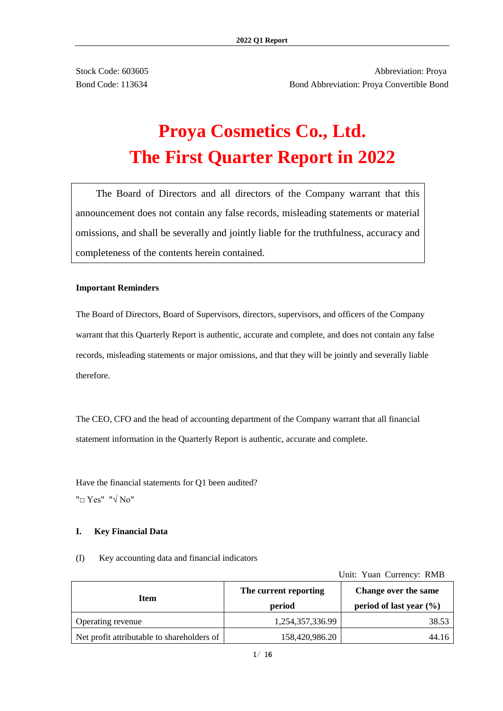Stock Code: 603605 **Abbreviation: Proval** Bond Code: 113634 Bond Abbreviation: Proya Convertible Bond

# **Proya Cosmetics Co., Ltd. The First Quarter Report in 2022**

The Board of Directors and all directors of the Company warrant that this announcement does not contain any false records, misleading statements or material omissions, and shall be severally and jointly liable for the truthfulness, accuracy and completeness of the contents herein contained.

#### **Important Reminders**

The Board of Directors, Board of Supervisors, directors, supervisors, and officers of the Company warrant that this Quarterly Report is authentic, accurate and complete, and does not contain any false records, misleading statements or major omissions, and that they will be jointly and severally liable therefore.

The CEO, CFO and the head of accounting department of the Company warrant that all financial statement information in the Quarterly Report is authentic, accurate and complete.

Have the financial statements for Q1 been audited? "□ Yes" "√ No"

#### **I. Key Financial Data**

(I) Key accounting data and financial indicators

Unit: Yuan Currency: RMB

| <b>Item</b>                                                     | The current reporting<br>period    | Change over the same<br>period of last year $(\% )$ |  |  |
|-----------------------------------------------------------------|------------------------------------|-----------------------------------------------------|--|--|
|                                                                 |                                    | 38.53                                               |  |  |
|                                                                 |                                    | 44.16                                               |  |  |
| Operating revenue<br>Net profit attributable to shareholders of | 1,254,357,336.99<br>158,420,986.20 |                                                     |  |  |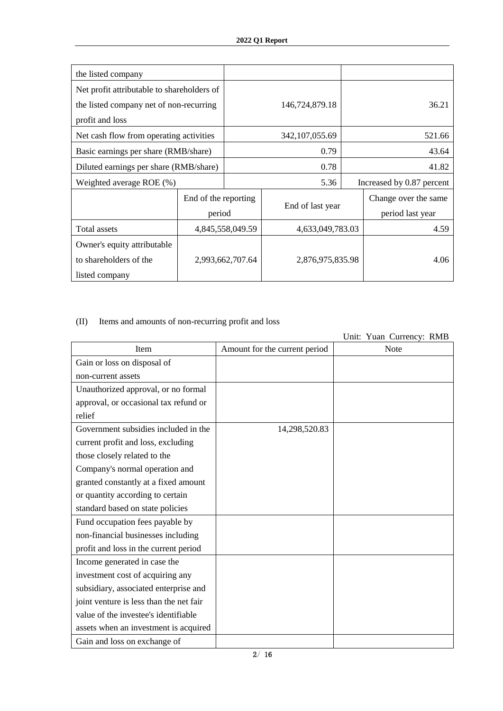| the listed company                         |                      |                  |                  |  |                           |  |
|--------------------------------------------|----------------------|------------------|------------------|--|---------------------------|--|
| Net profit attributable to shareholders of |                      |                  |                  |  |                           |  |
| the listed company net of non-recurring    |                      |                  | 146,724,879.18   |  | 36.21                     |  |
| profit and loss                            |                      |                  |                  |  |                           |  |
| Net cash flow from operating activities    |                      |                  | 342, 107, 055.69 |  | 521.66                    |  |
| Basic earnings per share (RMB/share)       |                      |                  | 0.79             |  | 43.64                     |  |
| Diluted earnings per share (RMB/share)     |                      |                  | 0.78             |  | 41.82                     |  |
| Weighted average $ROE$ (%)                 |                      |                  | 5.36             |  | Increased by 0.87 percent |  |
|                                            | End of the reporting |                  |                  |  | Change over the same      |  |
|                                            | period               |                  | End of last year |  | period last year          |  |
| Total assets                               |                      | 4,845,558,049.59 | 4,633,049,783.03 |  | 4.59                      |  |
| Owner's equity attributable                |                      |                  |                  |  |                           |  |
| to shareholders of the                     |                      | 2,993,662,707.64 | 2,876,975,835.98 |  | 4.06                      |  |
| listed company                             |                      |                  |                  |  |                           |  |

# (II) Items and amounts of non-recurring profit and loss

|                                         |                               | Unit: Yuan Currency: RMB |
|-----------------------------------------|-------------------------------|--------------------------|
| Item                                    | Amount for the current period | Note                     |
| Gain or loss on disposal of             |                               |                          |
| non-current assets                      |                               |                          |
| Unauthorized approval, or no formal     |                               |                          |
| approval, or occasional tax refund or   |                               |                          |
| relief                                  |                               |                          |
| Government subsidies included in the    | 14,298,520.83                 |                          |
| current profit and loss, excluding      |                               |                          |
| those closely related to the            |                               |                          |
| Company's normal operation and          |                               |                          |
| granted constantly at a fixed amount    |                               |                          |
| or quantity according to certain        |                               |                          |
| standard based on state policies        |                               |                          |
| Fund occupation fees payable by         |                               |                          |
| non-financial businesses including      |                               |                          |
| profit and loss in the current period   |                               |                          |
| Income generated in case the            |                               |                          |
| investment cost of acquiring any        |                               |                          |
| subsidiary, associated enterprise and   |                               |                          |
| joint venture is less than the net fair |                               |                          |
| value of the investee's identifiable    |                               |                          |
| assets when an investment is acquired   |                               |                          |
| Gain and loss on exchange of            |                               |                          |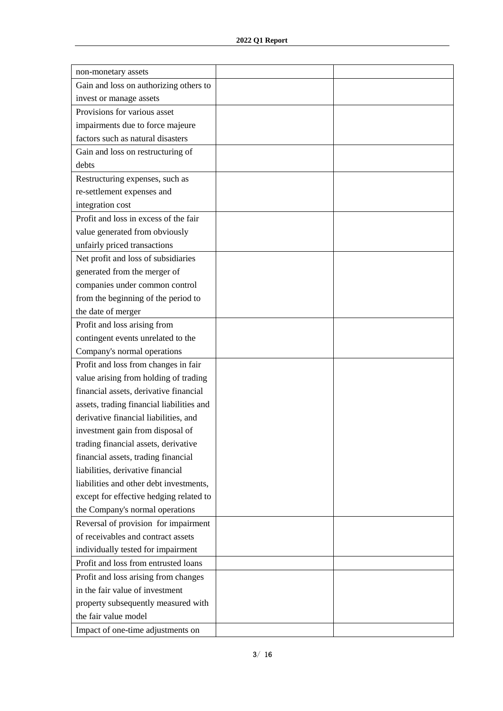| non-monetary assets                       |  |
|-------------------------------------------|--|
| Gain and loss on authorizing others to    |  |
| invest or manage assets                   |  |
| Provisions for various asset              |  |
| impairments due to force majeure          |  |
| factors such as natural disasters         |  |
| Gain and loss on restructuring of         |  |
| debts                                     |  |
| Restructuring expenses, such as           |  |
| re-settlement expenses and                |  |
| integration cost                          |  |
| Profit and loss in excess of the fair     |  |
| value generated from obviously            |  |
| unfairly priced transactions              |  |
| Net profit and loss of subsidiaries       |  |
| generated from the merger of              |  |
| companies under common control            |  |
| from the beginning of the period to       |  |
| the date of merger                        |  |
| Profit and loss arising from              |  |
| contingent events unrelated to the        |  |
| Company's normal operations               |  |
| Profit and loss from changes in fair      |  |
| value arising from holding of trading     |  |
| financial assets, derivative financial    |  |
| assets, trading financial liabilities and |  |
| derivative financial liabilities, and     |  |
| investment gain from disposal of          |  |
| trading financial assets, derivative      |  |
| financial assets, trading financial       |  |
| liabilities, derivative financial         |  |
| liabilities and other debt investments,   |  |
| except for effective hedging related to   |  |
| the Company's normal operations           |  |
| Reversal of provision for impairment      |  |
| of receivables and contract assets        |  |
| individually tested for impairment        |  |
| Profit and loss from entrusted loans      |  |
| Profit and loss arising from changes      |  |
| in the fair value of investment           |  |
| property subsequently measured with       |  |
| the fair value model                      |  |
| Impact of one-time adjustments on         |  |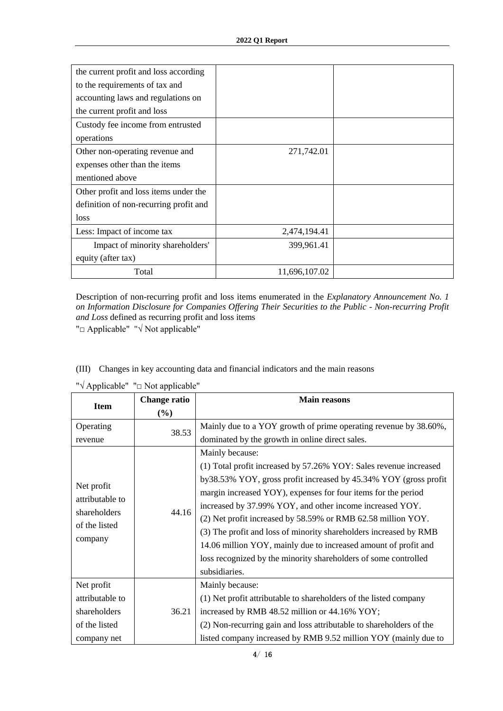| the current profit and loss according  |               |  |
|----------------------------------------|---------------|--|
| to the requirements of tax and         |               |  |
| accounting laws and regulations on     |               |  |
| the current profit and loss            |               |  |
| Custody fee income from entrusted      |               |  |
| operations                             |               |  |
| Other non-operating revenue and        | 271,742.01    |  |
| expenses other than the items          |               |  |
| mentioned above                        |               |  |
| Other profit and loss items under the  |               |  |
| definition of non-recurring profit and |               |  |
| loss                                   |               |  |
| Less: Impact of income tax             | 2,474,194.41  |  |
| Impact of minority shareholders'       | 399,961.41    |  |
| equity (after tax)                     |               |  |
| Total                                  | 11,696,107.02 |  |

Description of non-recurring profit and loss items enumerated in the *Explanatory Announcement No. 1 on Information Disclosure for Companies Offering Their Securities to the Public - Non-recurring Profit and Loss* defined as recurring profit and loss items

(III) Changes in key accounting data and financial indicators and the main reasons

"□ Applicable" "√ Not applicable"

| <b>Item</b>                                                                                       | <b>Change ratio</b><br>$(\%)$ | <b>Main reasons</b>                                                                                                                                                                                                                                                                                                                                                                                                                                                                                                                                                                                                                                                                      |
|---------------------------------------------------------------------------------------------------|-------------------------------|------------------------------------------------------------------------------------------------------------------------------------------------------------------------------------------------------------------------------------------------------------------------------------------------------------------------------------------------------------------------------------------------------------------------------------------------------------------------------------------------------------------------------------------------------------------------------------------------------------------------------------------------------------------------------------------|
| Operating<br>revenue<br>Net profit<br>attributable to<br>shareholders<br>of the listed<br>company | 38.53<br>44.16                | Mainly due to a YOY growth of prime operating revenue by 38.60%,<br>dominated by the growth in online direct sales.<br>Mainly because:<br>(1) Total profit increased by 57.26% YOY: Sales revenue increased<br>by 38.53% YOY, gross profit increased by 45.34% YOY (gross profit<br>margin increased YOY), expenses for four items for the period<br>increased by 37.99% YOY, and other income increased YOY.<br>(2) Net profit increased by 58.59% or RMB 62.58 million YOY.<br>(3) The profit and loss of minority shareholders increased by RMB<br>14.06 million YOY, mainly due to increased amount of profit and<br>loss recognized by the minority shareholders of some controlled |
|                                                                                                   |                               | subsidiaries.                                                                                                                                                                                                                                                                                                                                                                                                                                                                                                                                                                                                                                                                            |
| Net profit<br>attributable to<br>shareholders<br>of the listed<br>company net                     | 36.21                         | Mainly because:<br>(1) Net profit attributable to shareholders of the listed company<br>increased by RMB 48.52 million or 44.16% YOY;<br>(2) Non-recurring gain and loss attributable to shareholders of the<br>listed company increased by RMB 9.52 million YOY (mainly due to                                                                                                                                                                                                                                                                                                                                                                                                          |

"√ Applicable" "□ Not applicable"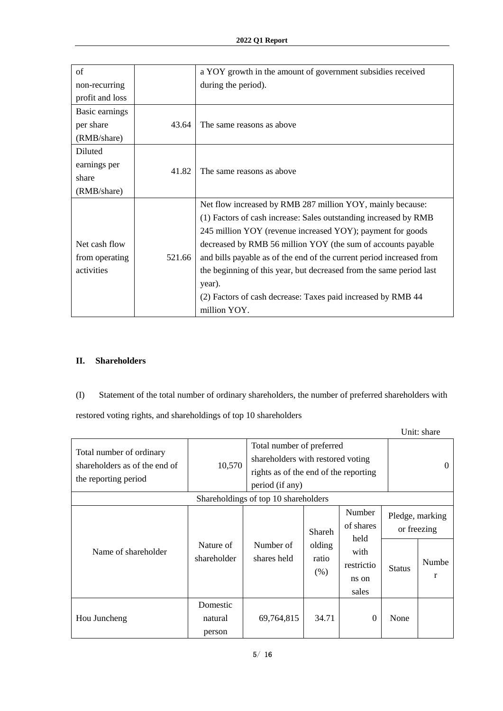| of              |        | a YOY growth in the amount of government subsidies received          |  |  |
|-----------------|--------|----------------------------------------------------------------------|--|--|
| non-recurring   |        | during the period).                                                  |  |  |
| profit and loss |        |                                                                      |  |  |
| Basic earnings  |        |                                                                      |  |  |
| per share       | 43.64  | The same reasons as above                                            |  |  |
| (RMB/share)     |        |                                                                      |  |  |
| Diluted         |        |                                                                      |  |  |
| earnings per    | 41.82  | The same reasons as above                                            |  |  |
| share           |        |                                                                      |  |  |
| (RMB/share)     |        |                                                                      |  |  |
|                 |        | Net flow increased by RMB 287 million YOY, mainly because:           |  |  |
|                 |        | (1) Factors of cash increase: Sales outstanding increased by RMB     |  |  |
|                 |        | 245 million YOY (revenue increased YOY); payment for goods           |  |  |
| Net cash flow   |        | decreased by RMB 56 million YOY (the sum of accounts payable         |  |  |
| from operating  | 521.66 | and bills payable as of the end of the current period increased from |  |  |
| activities      |        | the beginning of this year, but decreased from the same period last  |  |  |
|                 |        | year).                                                               |  |  |
|                 |        | (2) Factors of cash decrease: Taxes paid increased by RMB 44         |  |  |
|                 |        | million YOY.                                                         |  |  |

## **II. Shareholders**

(I) Statement of the total number of ordinary shareholders, the number of preferred shareholders with

restored voting rights, and shareholdings of top 10 shareholders

|                                                                                   |                               |                                                                                                                            |                                   |                                                                     |                                                 | Unit: share |
|-----------------------------------------------------------------------------------|-------------------------------|----------------------------------------------------------------------------------------------------------------------------|-----------------------------------|---------------------------------------------------------------------|-------------------------------------------------|-------------|
| Total number of ordinary<br>shareholders as of the end of<br>the reporting period | 10,570                        | Total number of preferred<br>shareholders with restored voting<br>rights as of the end of the reporting<br>period (if any) |                                   |                                                                     |                                                 | $\Omega$    |
|                                                                                   |                               | Shareholdings of top 10 shareholders                                                                                       |                                   |                                                                     |                                                 |             |
| Name of shareholder                                                               | Nature of<br>shareholder      | Number of<br>shares held                                                                                                   | Shareh<br>olding<br>ratio<br>(% ) | Number<br>of shares<br>held<br>with<br>restrictio<br>ns on<br>sales | Pledge, marking<br>or freezing<br><b>Status</b> | Numbe<br>r  |
| Hou Juncheng                                                                      | Domestic<br>natural<br>person | 69,764,815                                                                                                                 | 34.71                             | $\theta$                                                            | None                                            |             |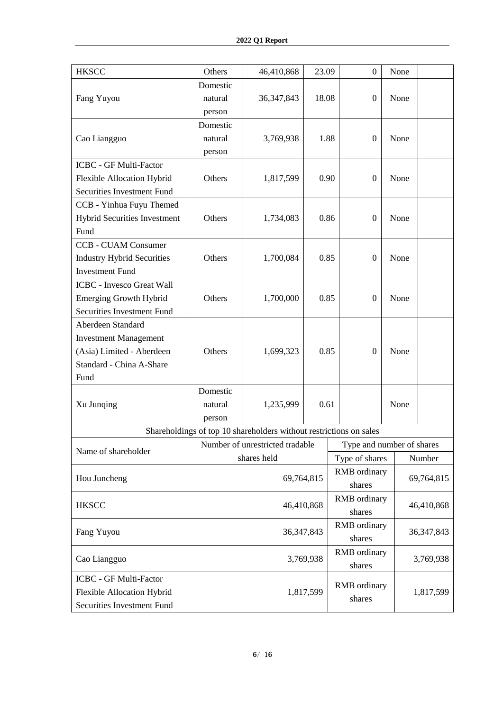| <b>HKSCC</b>                      | Others    | 46,410,868                                                         | 23.09        |                           | $\mathbf{0}$     | None |              |
|-----------------------------------|-----------|--------------------------------------------------------------------|--------------|---------------------------|------------------|------|--------------|
|                                   | Domestic  |                                                                    |              |                           |                  |      |              |
| Fang Yuyou                        | natural   | 36, 347, 843                                                       | 18.08        |                           | $\boldsymbol{0}$ | None |              |
|                                   | person    |                                                                    |              |                           |                  |      |              |
|                                   | Domestic  |                                                                    |              |                           |                  |      |              |
| Cao Liangguo                      | natural   | 3,769,938                                                          | 1.88         |                           | $\boldsymbol{0}$ | None |              |
|                                   | person    |                                                                    |              |                           |                  |      |              |
| <b>ICBC - GF Multi-Factor</b>     |           |                                                                    |              |                           |                  |      |              |
| Flexible Allocation Hybrid        | Others    | 1,817,599                                                          | 0.90         |                           | $\boldsymbol{0}$ | None |              |
| Securities Investment Fund        |           |                                                                    |              |                           |                  |      |              |
| CCB - Yinhua Fuyu Themed          |           |                                                                    |              |                           |                  |      |              |
| Hybrid Securities Investment      | Others    | 1,734,083                                                          | 0.86         |                           | $\boldsymbol{0}$ | None |              |
| Fund                              |           |                                                                    |              |                           |                  |      |              |
| <b>CCB - CUAM Consumer</b>        |           |                                                                    |              |                           |                  |      |              |
| <b>Industry Hybrid Securities</b> | Others    | 1,700,084                                                          | 0.85         |                           | $\boldsymbol{0}$ | None |              |
| <b>Investment Fund</b>            |           |                                                                    |              |                           |                  |      |              |
| <b>ICBC</b> - Invesco Great Wall  |           |                                                                    |              |                           |                  |      |              |
| <b>Emerging Growth Hybrid</b>     | Others    | 1,700,000                                                          | 0.85         |                           | $\boldsymbol{0}$ | None |              |
| Securities Investment Fund        |           |                                                                    |              |                           |                  |      |              |
| Aberdeen Standard                 |           |                                                                    |              |                           |                  |      |              |
| <b>Investment Management</b>      |           |                                                                    |              |                           |                  |      |              |
| (Asia) Limited - Aberdeen         | Others    | 1,699,323                                                          | 0.85         |                           | $\theta$         | None |              |
| Standard - China A-Share          |           |                                                                    |              |                           |                  |      |              |
| Fund                              |           |                                                                    |              |                           |                  |      |              |
|                                   | Domestic  |                                                                    |              |                           |                  |      |              |
| Xu Junqing                        | natural   | 1,235,999                                                          | 0.61         |                           |                  | None |              |
|                                   | person    |                                                                    |              |                           |                  |      |              |
|                                   |           | Shareholdings of top 10 shareholders without restrictions on sales |              |                           |                  |      |              |
|                                   |           | Number of unrestricted tradable                                    |              | Type and number of shares |                  |      |              |
| Name of shareholder               |           | shares held                                                        |              | Type of shares            |                  |      | Number       |
|                                   |           |                                                                    |              | <b>RMB</b> ordinary       |                  |      |              |
| Hou Juncheng                      |           | 69,764,815                                                         |              | shares                    |                  |      | 69,764,815   |
|                                   |           |                                                                    |              | RMB ordinary              |                  |      |              |
| <b>HKSCC</b>                      |           | 46,410,868                                                         |              | shares                    |                  |      | 46,410,868   |
|                                   |           |                                                                    |              | <b>RMB</b> ordinary       |                  |      |              |
| Fang Yuyou                        |           | 36, 347, 843                                                       |              | shares                    |                  |      | 36, 347, 843 |
|                                   |           |                                                                    | RMB ordinary |                           |                  |      |              |
| Cao Liangguo                      | 3,769,938 |                                                                    | shares       |                           |                  |      | 3,769,938    |
| ICBC - GF Multi-Factor            |           |                                                                    |              |                           |                  |      |              |
| Flexible Allocation Hybrid        |           |                                                                    | 1,817,599    | RMB ordinary              |                  |      | 1,817,599    |
| Securities Investment Fund        |           |                                                                    |              | shares                    |                  |      |              |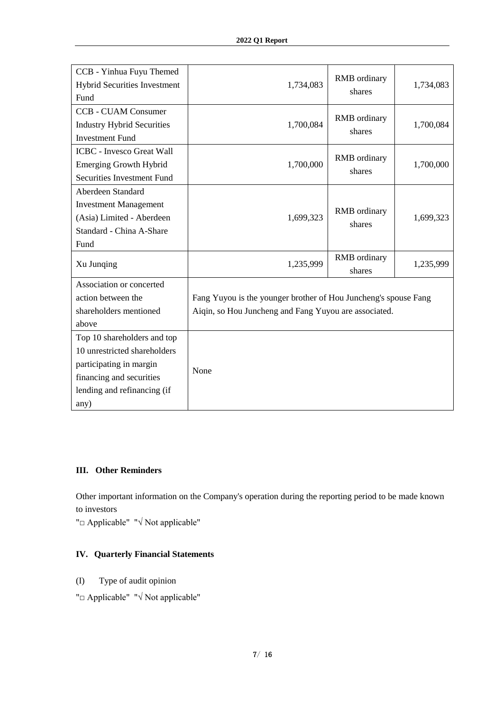| CCB - Yinhua Fuyu Themed<br>Hybrid Securities Investment<br>Fund | 1,734,083                                                       | <b>RMB</b> ordinary<br>shares | 1,734,083 |
|------------------------------------------------------------------|-----------------------------------------------------------------|-------------------------------|-----------|
| <b>CCB - CUAM Consumer</b><br><b>Industry Hybrid Securities</b>  | 1,700,084                                                       | <b>RMB</b> ordinary           | 1,700,084 |
| <b>Investment Fund</b>                                           |                                                                 | shares                        |           |
| <b>ICBC</b> - Invesco Great Wall                                 |                                                                 |                               |           |
| <b>Emerging Growth Hybrid</b>                                    | 1,700,000                                                       | <b>RMB</b> ordinary<br>shares | 1,700,000 |
| Securities Investment Fund                                       |                                                                 |                               |           |
| Aberdeen Standard                                                |                                                                 |                               |           |
| <b>Investment Management</b>                                     |                                                                 | RMB ordinary                  |           |
| (Asia) Limited - Aberdeen                                        | 1,699,323                                                       | shares                        | 1,699,323 |
| Standard - China A-Share                                         |                                                                 |                               |           |
| Fund                                                             |                                                                 |                               |           |
| Xu Junqing                                                       | 1,235,999                                                       | RMB ordinary<br>shares        | 1,235,999 |
| Association or concerted                                         |                                                                 |                               |           |
| action between the                                               | Fang Yuyou is the younger brother of Hou Juncheng's spouse Fang |                               |           |
| shareholders mentioned                                           | Aiqin, so Hou Juncheng and Fang Yuyou are associated.           |                               |           |
| above                                                            |                                                                 |                               |           |
| Top 10 shareholders and top                                      |                                                                 |                               |           |
| 10 unrestricted shareholders                                     |                                                                 |                               |           |
| participating in margin                                          | None                                                            |                               |           |
| financing and securities                                         |                                                                 |                               |           |
| lending and refinancing (if                                      |                                                                 |                               |           |
| any)                                                             |                                                                 |                               |           |

#### **III. Other Reminders**

Other important information on the Company's operation during the reporting period to be made known to investors

"□ Applicable" "√ Not applicable"

# **IV. Quarterly Financial Statements**

- (I) Type of audit opinion
- "□ Applicable" "√ Not applicable"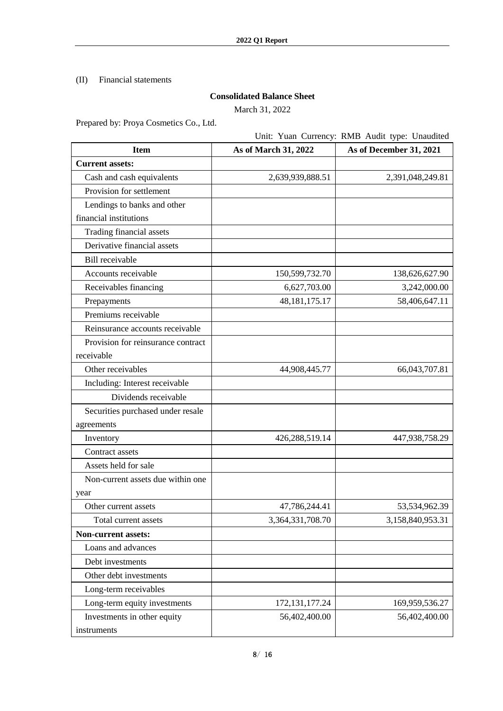## (II) Financial statements

## **Consolidated Balance Sheet**

March 31, 2022

Prepared by: Proya Cosmetics Co., Ltd.

# Unit: Yuan Currency: RMB Audit type: Unaudited

| <b>Item</b>                        | As of March 31, 2022 | As of December 31, 2021 |
|------------------------------------|----------------------|-------------------------|
| <b>Current assets:</b>             |                      |                         |
| Cash and cash equivalents          | 2,639,939,888.51     | 2,391,048,249.81        |
| Provision for settlement           |                      |                         |
| Lendings to banks and other        |                      |                         |
| financial institutions             |                      |                         |
| Trading financial assets           |                      |                         |
| Derivative financial assets        |                      |                         |
| Bill receivable                    |                      |                         |
| Accounts receivable                | 150,599,732.70       | 138,626,627.90          |
| Receivables financing              | 6,627,703.00         | 3,242,000.00            |
| Prepayments                        | 48, 181, 175. 17     | 58,406,647.11           |
| Premiums receivable                |                      |                         |
| Reinsurance accounts receivable    |                      |                         |
| Provision for reinsurance contract |                      |                         |
| receivable                         |                      |                         |
| Other receivables                  | 44,908,445.77        | 66,043,707.81           |
| Including: Interest receivable     |                      |                         |
| Dividends receivable               |                      |                         |
| Securities purchased under resale  |                      |                         |
| agreements                         |                      |                         |
| Inventory                          | 426,288,519.14       | 447,938,758.29          |
| Contract assets                    |                      |                         |
| Assets held for sale               |                      |                         |
| Non-current assets due within one  |                      |                         |
| year                               |                      |                         |
| Other current assets               | 47,786,244.41        | 53,534,962.39           |
| Total current assets               | 3,364,331,708.70     | 3,158,840,953.31        |
| <b>Non-current assets:</b>         |                      |                         |
| Loans and advances                 |                      |                         |
| Debt investments                   |                      |                         |
| Other debt investments             |                      |                         |
| Long-term receivables              |                      |                         |
| Long-term equity investments       | 172, 131, 177. 24    | 169,959,536.27          |
| Investments in other equity        | 56,402,400.00        | 56,402,400.00           |
| instruments                        |                      |                         |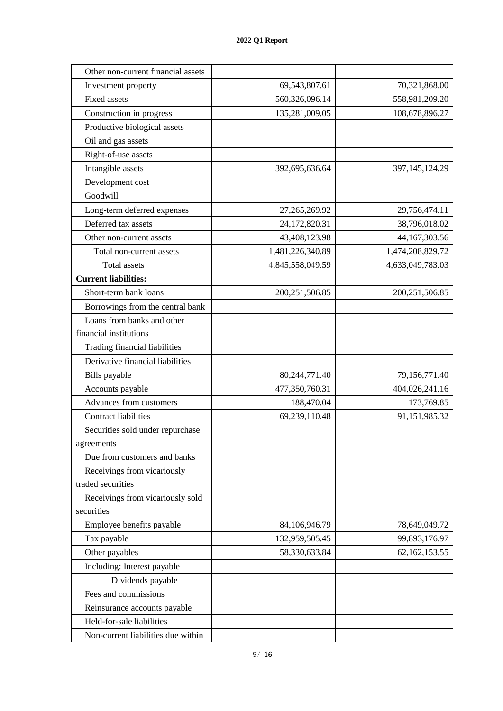| Other non-current financial assets |                  |                  |
|------------------------------------|------------------|------------------|
| Investment property                | 69,543,807.61    | 70,321,868.00    |
| <b>Fixed assets</b>                | 560,326,096.14   | 558,981,209.20   |
| Construction in progress           | 135,281,009.05   | 108,678,896.27   |
| Productive biological assets       |                  |                  |
| Oil and gas assets                 |                  |                  |
| Right-of-use assets                |                  |                  |
| Intangible assets                  | 392,695,636.64   | 397,145,124.29   |
| Development cost                   |                  |                  |
| Goodwill                           |                  |                  |
| Long-term deferred expenses        | 27, 265, 269. 92 | 29,756,474.11    |
| Deferred tax assets                | 24,172,820.31    | 38,796,018.02    |
| Other non-current assets           | 43,408,123.98    | 44,167,303.56    |
| Total non-current assets           | 1,481,226,340.89 | 1,474,208,829.72 |
| <b>Total assets</b>                | 4,845,558,049.59 | 4,633,049,783.03 |
| <b>Current liabilities:</b>        |                  |                  |
| Short-term bank loans              | 200, 251, 506.85 | 200,251,506.85   |
| Borrowings from the central bank   |                  |                  |
| Loans from banks and other         |                  |                  |
| financial institutions             |                  |                  |
| Trading financial liabilities      |                  |                  |
| Derivative financial liabilities   |                  |                  |
| Bills payable                      | 80,244,771.40    | 79,156,771.40    |
| Accounts payable                   | 477,350,760.31   | 404,026,241.16   |
| Advances from customers            | 188,470.04       | 173,769.85       |
| <b>Contract liabilities</b>        | 69,239,110.48    | 91,151,985.32    |
| Securities sold under repurchase   |                  |                  |
| agreements                         |                  |                  |
| Due from customers and banks       |                  |                  |
| Receivings from vicariously        |                  |                  |
| traded securities                  |                  |                  |
| Receivings from vicariously sold   |                  |                  |
| securities                         |                  |                  |
| Employee benefits payable          | 84,106,946.79    | 78,649,049.72    |
| Tax payable                        | 132,959,505.45   | 99,893,176.97    |
| Other payables                     | 58,330,633.84    | 62,162,153.55    |
| Including: Interest payable        |                  |                  |
| Dividends payable                  |                  |                  |
| Fees and commissions               |                  |                  |
| Reinsurance accounts payable       |                  |                  |
| Held-for-sale liabilities          |                  |                  |
| Non-current liabilities due within |                  |                  |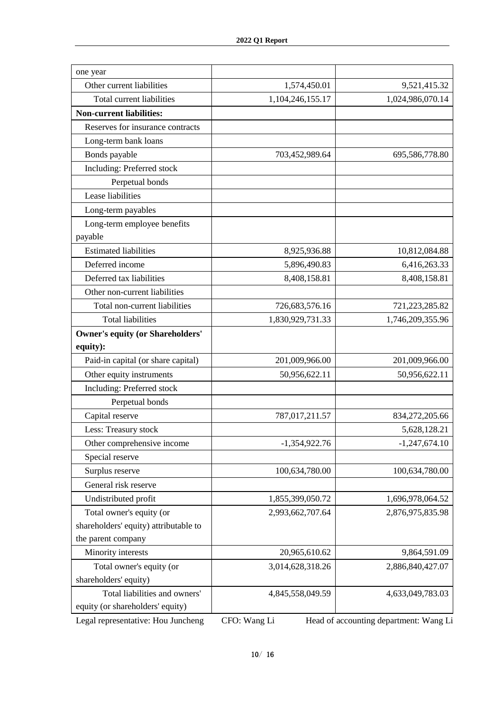| one year                                |                  |                  |
|-----------------------------------------|------------------|------------------|
| Other current liabilities               | 1,574,450.01     | 9,521,415.32     |
| Total current liabilities               | 1,104,246,155.17 | 1,024,986,070.14 |
| <b>Non-current liabilities:</b>         |                  |                  |
| Reserves for insurance contracts        |                  |                  |
| Long-term bank loans                    |                  |                  |
| Bonds payable                           | 703,452,989.64   | 695,586,778.80   |
| Including: Preferred stock              |                  |                  |
| Perpetual bonds                         |                  |                  |
| Lease liabilities                       |                  |                  |
| Long-term payables                      |                  |                  |
| Long-term employee benefits             |                  |                  |
| payable                                 |                  |                  |
| <b>Estimated liabilities</b>            | 8,925,936.88     | 10,812,084.88    |
| Deferred income                         | 5,896,490.83     | 6,416,263.33     |
| Deferred tax liabilities                | 8,408,158.81     | 8,408,158.81     |
| Other non-current liabilities           |                  |                  |
| Total non-current liabilities           | 726,683,576.16   | 721,223,285.82   |
| <b>Total liabilities</b>                | 1,830,929,731.33 | 1,746,209,355.96 |
| <b>Owner's equity (or Shareholders'</b> |                  |                  |
| equity):                                |                  |                  |
| Paid-in capital (or share capital)      | 201,009,966.00   | 201,009,966.00   |
| Other equity instruments                | 50,956,622.11    | 50,956,622.11    |
| Including: Preferred stock              |                  |                  |
| Perpetual bonds                         |                  |                  |
| Capital reserve                         | 787,017,211.57   | 834,272,205.66   |
| Less: Treasury stock                    |                  | 5,628,128.21     |
| Other comprehensive income              | $-1,354,922.76$  | $-1,247,674.10$  |
| Special reserve                         |                  |                  |
| Surplus reserve                         | 100,634,780.00   | 100,634,780.00   |
| General risk reserve                    |                  |                  |
| Undistributed profit                    | 1,855,399,050.72 | 1,696,978,064.52 |
| Total owner's equity (or                | 2,993,662,707.64 | 2,876,975,835.98 |
| shareholders' equity) attributable to   |                  |                  |
| the parent company                      |                  |                  |
| Minority interests                      | 20,965,610.62    | 9,864,591.09     |
| Total owner's equity (or                | 3,014,628,318.26 | 2,886,840,427.07 |
| shareholders' equity)                   |                  |                  |
| Total liabilities and owners'           | 4,845,558,049.59 | 4,633,049,783.03 |
| equity (or shareholders' equity)        |                  |                  |

Legal representative: Hou Juncheng CFO: Wang Li Head of accounting department: Wang Li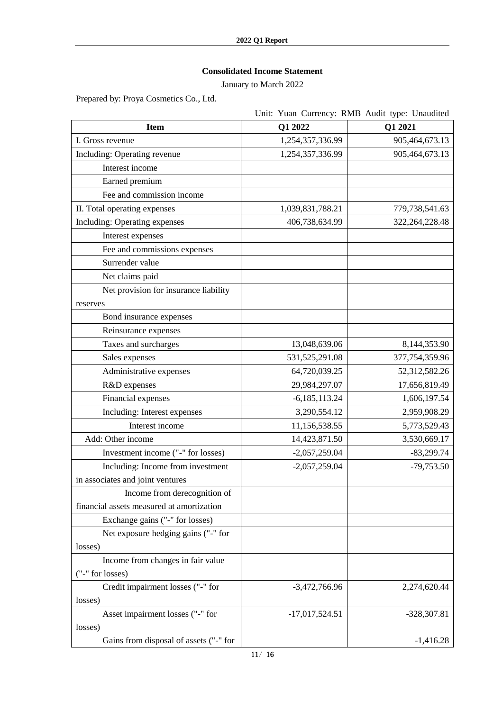# **Consolidated Income Statement**

January to March 2022

Prepared by: Proya Cosmetics Co., Ltd.

|                                           | Unit: Yuan Currency: RMB Audit type: Unaudited |                   |
|-------------------------------------------|------------------------------------------------|-------------------|
| <b>Item</b>                               | Q1 2022                                        | Q1 2021           |
| I. Gross revenue                          | 1,254,357,336.99                               | 905,464,673.13    |
| Including: Operating revenue              | 1,254,357,336.99                               | 905,464,673.13    |
| Interest income                           |                                                |                   |
| Earned premium                            |                                                |                   |
| Fee and commission income                 |                                                |                   |
| II. Total operating expenses              | 1,039,831,788.21                               | 779,738,541.63    |
| Including: Operating expenses             | 406,738,634.99                                 | 322, 264, 228. 48 |
| Interest expenses                         |                                                |                   |
| Fee and commissions expenses              |                                                |                   |
| Surrender value                           |                                                |                   |
| Net claims paid                           |                                                |                   |
| Net provision for insurance liability     |                                                |                   |
| reserves                                  |                                                |                   |
| Bond insurance expenses                   |                                                |                   |
| Reinsurance expenses                      |                                                |                   |
| Taxes and surcharges                      | 13,048,639.06                                  | 8,144,353.90      |
| Sales expenses                            | 531, 525, 291.08                               | 377,754,359.96    |
| Administrative expenses                   | 64,720,039.25                                  | 52,312,582.26     |
| R&D expenses                              | 29,984,297.07                                  | 17,656,819.49     |
| Financial expenses                        | $-6,185,113.24$                                | 1,606,197.54      |
| Including: Interest expenses              | 3,290,554.12                                   | 2,959,908.29      |
| Interest income                           | 11,156,538.55                                  | 5,773,529.43      |
| Add: Other income                         | 14,423,871.50                                  | 3,530,669.17      |
| Investment income ("-" for losses)        | $-2,057,259.04$                                | $-83,299.74$      |
| Including: Income from investment         | $-2,057,259.04$                                | $-79,753.50$      |
| in associates and joint ventures          |                                                |                   |
| Income from derecognition of              |                                                |                   |
| financial assets measured at amortization |                                                |                   |
| Exchange gains ("-" for losses)           |                                                |                   |
| Net exposure hedging gains ("-" for       |                                                |                   |
| losses)                                   |                                                |                   |
| Income from changes in fair value         |                                                |                   |
| ("-" for losses)                          |                                                |                   |
| Credit impairment losses ("-" for         | $-3,472,766.96$                                | 2,274,620.44      |
| losses)                                   |                                                |                   |
| Asset impairment losses ("-" for          | $-17,017,524.51$                               | -328,307.81       |
| losses)                                   |                                                |                   |
| Gains from disposal of assets ("-" for    |                                                | $-1,416.28$       |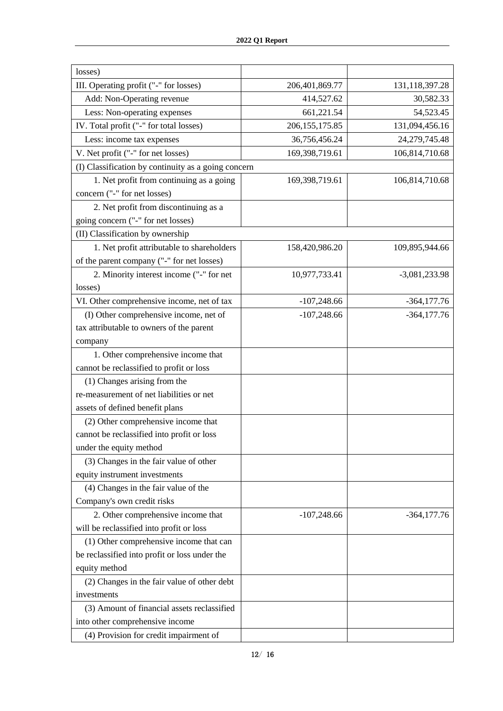| losses)                                             |                  |                 |
|-----------------------------------------------------|------------------|-----------------|
| III. Operating profit ("-" for losses)              | 206,401,869.77   | 131,118,397.28  |
| Add: Non-Operating revenue                          | 414,527.62       | 30,582.33       |
| Less: Non-operating expenses                        | 661,221.54       | 54,523.45       |
| IV. Total profit ("-" for total losses)             | 206, 155, 175.85 | 131,094,456.16  |
| Less: income tax expenses                           | 36,756,456.24    | 24,279,745.48   |
| V. Net profit ("-" for net losses)                  | 169,398,719.61   | 106,814,710.68  |
| (I) Classification by continuity as a going concern |                  |                 |
| 1. Net profit from continuing as a going            | 169,398,719.61   | 106,814,710.68  |
| concern ("-" for net losses)                        |                  |                 |
| 2. Net profit from discontinuing as a               |                  |                 |
| going concern ("-" for net losses)                  |                  |                 |
| (II) Classification by ownership                    |                  |                 |
| 1. Net profit attributable to shareholders          | 158,420,986.20   | 109,895,944.66  |
| of the parent company ("-" for net losses)          |                  |                 |
| 2. Minority interest income ("-" for net            | 10,977,733.41    | $-3,081,233.98$ |
| losses)                                             |                  |                 |
| VI. Other comprehensive income, net of tax          | $-107,248.66$    | $-364,177.76$   |
| (I) Other comprehensive income, net of              | $-107,248.66$    | $-364,177.76$   |
| tax attributable to owners of the parent            |                  |                 |
| company                                             |                  |                 |
| 1. Other comprehensive income that                  |                  |                 |
| cannot be reclassified to profit or loss            |                  |                 |
| (1) Changes arising from the                        |                  |                 |
| re-measurement of net liabilities or net            |                  |                 |
| assets of defined benefit plans                     |                  |                 |
| (2) Other comprehensive income that                 |                  |                 |
| cannot be reclassified into profit or loss          |                  |                 |
| under the equity method                             |                  |                 |
| (3) Changes in the fair value of other              |                  |                 |
| equity instrument investments                       |                  |                 |
| (4) Changes in the fair value of the                |                  |                 |
| Company's own credit risks                          |                  |                 |
| 2. Other comprehensive income that                  | $-107,248.66$    | $-364,177.76$   |
| will be reclassified into profit or loss            |                  |                 |
| (1) Other comprehensive income that can             |                  |                 |
| be reclassified into profit or loss under the       |                  |                 |
| equity method                                       |                  |                 |
| (2) Changes in the fair value of other debt         |                  |                 |
| investments                                         |                  |                 |
| (3) Amount of financial assets reclassified         |                  |                 |
| into other comprehensive income                     |                  |                 |
| (4) Provision for credit impairment of              |                  |                 |
|                                                     |                  |                 |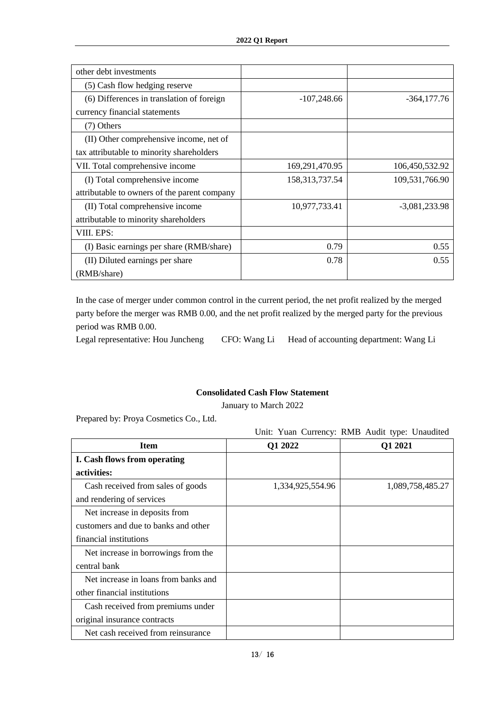| other debt investments                       |                   |                 |
|----------------------------------------------|-------------------|-----------------|
| (5) Cash flow hedging reserve                |                   |                 |
| (6) Differences in translation of foreign    | $-107,248.66$     | $-364,177.76$   |
| currency financial statements                |                   |                 |
| (7) Others                                   |                   |                 |
| (II) Other comprehensive income, net of      |                   |                 |
| tax attributable to minority shareholders    |                   |                 |
| VII. Total comprehensive income              | 169,291,470.95    | 106,450,532.92  |
| (I) Total comprehensive income               | 158, 313, 737. 54 | 109,531,766.90  |
| attributable to owners of the parent company |                   |                 |
| (II) Total comprehensive income              | 10,977,733.41     | $-3,081,233.98$ |
| attributable to minority shareholders        |                   |                 |
| VIII. EPS:                                   |                   |                 |
| (I) Basic earnings per share (RMB/share)     | 0.79              | 0.55            |
| (II) Diluted earnings per share              | 0.78              | 0.55            |
| (RMB/share)                                  |                   |                 |

In the case of merger under common control in the current period, the net profit realized by the merged party before the merger was RMB 0.00, and the net profit realized by the merged party for the previous period was RMB 0.00.

Legal representative: Hou Juncheng CFO: Wang Li Head of accounting department: Wang Li

#### **Consolidated Cash Flow Statement**

January to March 2022

Prepared by: Proya Cosmetics Co., Ltd.

#### Unit: Yuan Currency: RMB Audit type: Unaudited

| <b>Item</b>                          | Q1 2022          | Q1 2021          |
|--------------------------------------|------------------|------------------|
| I. Cash flows from operating         |                  |                  |
| activities:                          |                  |                  |
| Cash received from sales of goods    | 1,334,925,554.96 | 1,089,758,485.27 |
| and rendering of services            |                  |                  |
| Net increase in deposits from        |                  |                  |
| customers and due to banks and other |                  |                  |
| financial institutions               |                  |                  |
| Net increase in borrowings from the  |                  |                  |
| central bank                         |                  |                  |
| Net increase in loans from banks and |                  |                  |
| other financial institutions         |                  |                  |
| Cash received from premiums under    |                  |                  |
| original insurance contracts         |                  |                  |
| Net cash received from reinsurance   |                  |                  |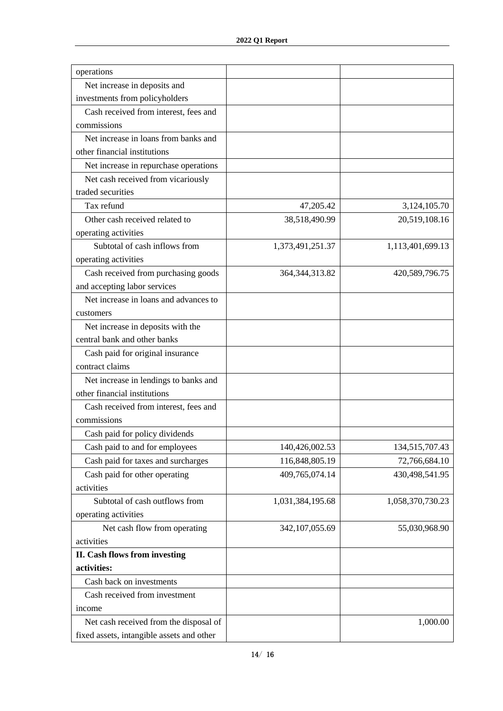| operations                                |                   |                  |
|-------------------------------------------|-------------------|------------------|
| Net increase in deposits and              |                   |                  |
| investments from policyholders            |                   |                  |
| Cash received from interest, fees and     |                   |                  |
| commissions                               |                   |                  |
| Net increase in loans from banks and      |                   |                  |
| other financial institutions              |                   |                  |
| Net increase in repurchase operations     |                   |                  |
| Net cash received from vicariously        |                   |                  |
| traded securities                         |                   |                  |
| Tax refund                                | 47,205.42         | 3,124,105.70     |
| Other cash received related to            | 38,518,490.99     | 20,519,108.16    |
| operating activities                      |                   |                  |
| Subtotal of cash inflows from             | 1,373,491,251.37  | 1,113,401,699.13 |
| operating activities                      |                   |                  |
| Cash received from purchasing goods       | 364, 344, 313. 82 | 420,589,796.75   |
| and accepting labor services              |                   |                  |
| Net increase in loans and advances to     |                   |                  |
| customers                                 |                   |                  |
| Net increase in deposits with the         |                   |                  |
| central bank and other banks              |                   |                  |
| Cash paid for original insurance          |                   |                  |
| contract claims                           |                   |                  |
| Net increase in lendings to banks and     |                   |                  |
| other financial institutions              |                   |                  |
| Cash received from interest, fees and     |                   |                  |
| commissions                               |                   |                  |
| Cash paid for policy dividends            |                   |                  |
| Cash paid to and for employees            | 140,426,002.53    | 134,515,707.43   |
| Cash paid for taxes and surcharges        | 116,848,805.19    | 72,766,684.10    |
| Cash paid for other operating             | 409,765,074.14    | 430,498,541.95   |
| activities                                |                   |                  |
| Subtotal of cash outflows from            | 1,031,384,195.68  | 1,058,370,730.23 |
| operating activities                      |                   |                  |
| Net cash flow from operating              | 342, 107, 055.69  | 55,030,968.90    |
| activities                                |                   |                  |
| II. Cash flows from investing             |                   |                  |
| activities:                               |                   |                  |
| Cash back on investments                  |                   |                  |
| Cash received from investment             |                   |                  |
| income                                    |                   |                  |
| Net cash received from the disposal of    |                   | 1,000.00         |
| fixed assets, intangible assets and other |                   |                  |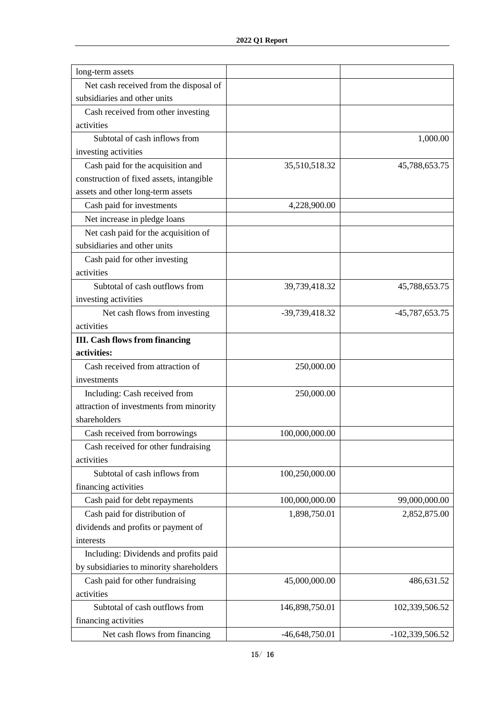| long-term assets                         |                |                 |
|------------------------------------------|----------------|-----------------|
| Net cash received from the disposal of   |                |                 |
| subsidiaries and other units             |                |                 |
| Cash received from other investing       |                |                 |
| activities                               |                |                 |
| Subtotal of cash inflows from            |                | 1,000.00        |
| investing activities                     |                |                 |
| Cash paid for the acquisition and        | 35,510,518.32  | 45,788,653.75   |
| construction of fixed assets, intangible |                |                 |
| assets and other long-term assets        |                |                 |
| Cash paid for investments                | 4,228,900.00   |                 |
| Net increase in pledge loans             |                |                 |
| Net cash paid for the acquisition of     |                |                 |
| subsidiaries and other units             |                |                 |
| Cash paid for other investing            |                |                 |
| activities                               |                |                 |
| Subtotal of cash outflows from           | 39,739,418.32  | 45,788,653.75   |
| investing activities                     |                |                 |
| Net cash flows from investing            | -39,739,418.32 | -45,787,653.75  |
| activities                               |                |                 |
| <b>III.</b> Cash flows from financing    |                |                 |
| activities:                              |                |                 |
| Cash received from attraction of         | 250,000.00     |                 |
| investments                              |                |                 |
| Including: Cash received from            | 250,000.00     |                 |
| attraction of investments from minority  |                |                 |
| shareholders                             |                |                 |
| Cash received from borrowings            | 100,000,000.00 |                 |
| Cash received for other fundraising      |                |                 |
| activities                               |                |                 |
| Subtotal of cash inflows from            | 100,250,000.00 |                 |
| financing activities                     |                |                 |
| Cash paid for debt repayments            | 100,000,000.00 | 99,000,000.00   |
| Cash paid for distribution of            | 1,898,750.01   | 2,852,875.00    |
| dividends and profits or payment of      |                |                 |
| interests                                |                |                 |
| Including: Dividends and profits paid    |                |                 |
| by subsidiaries to minority shareholders |                |                 |
| Cash paid for other fundraising          | 45,000,000.00  | 486,631.52      |
| activities                               |                |                 |
| Subtotal of cash outflows from           | 146,898,750.01 | 102,339,506.52  |
| financing activities                     |                |                 |
| Net cash flows from financing            | -46,648,750.01 | -102,339,506.52 |